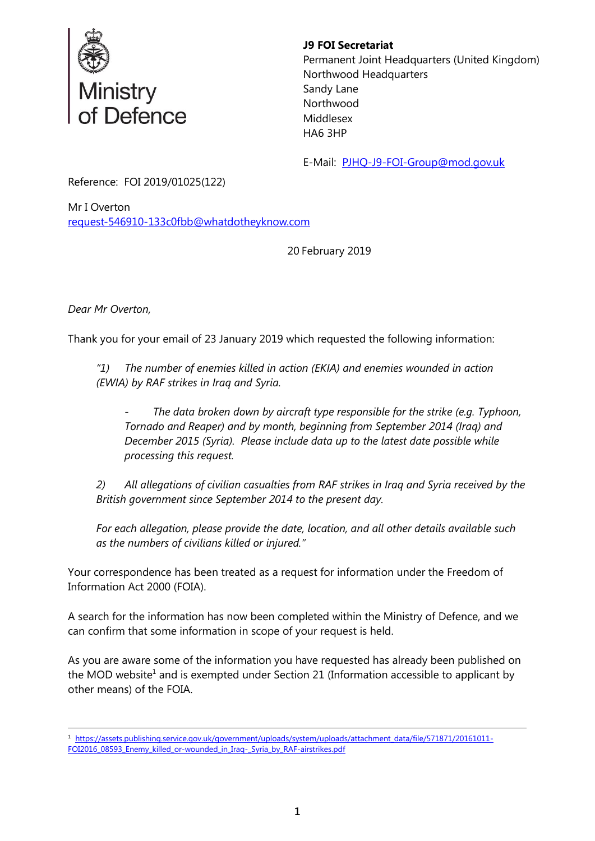

## **J9 FOI Secretariat**

Permanent Joint Headquarters (United Kingdom) Northwood Headquarters Sandy Lane Northwood Middlesex HA6 3HP

E-Mail: [PJHQ-J9-FOI-Group@mod.gov.uk](mailto:xxxxxxxxxxxxxxxxx@xxx.xx)

Reference: FOI 2019/01025(122)

Mr I Overton [request-546910-133c0fbb@whatdotheyknow.com](mailto:xxxxxxxxxxxxxxxxxxxxxxx@xxxxxxxxxxxxxx.xxx)

20 February 2019

*Dear Mr Overton,*

Thank you for your email of 23 January 2019 which requested the following information:

*"1) The number of enemies killed in action (EKIA) and enemies wounded in action (EWIA) by RAF strikes in Iraq and Syria.*

- *The data broken down by aircraft type responsible for the strike (e.g. Typhoon, Tornado and Reaper) and by month, beginning from September 2014 (Iraq) and December 2015 (Syria). Please include data up to the latest date possible while processing this request.*

*2) All allegations of civilian casualties from RAF strikes in Iraq and Syria received by the British government since September 2014 to the present day.*

*For each allegation, please provide the date, location, and all other details available such as the numbers of civilians killed or injured."*

Your correspondence has been treated as a request for information under the Freedom of Information Act 2000 (FOIA).

A search for the information has now been completed within the Ministry of Defence, and we can confirm that some information in scope of your request is held.

As you are aware some of the information you have requested has already been published on the MOD website<sup>1</sup> and is exempted under Section 21 (Information accessible to applicant by other means) of the FOIA.

 1 [https://assets.publishing.service.gov.uk/government/uploads/system/uploads/attachment\\_data/file/571871/20161011-](https://assets.publishing.service.gov.uk/government/uploads/system/uploads/attachment_data/file/571871/20161011-FOI2016_08593_Enemy_killed_or-wounded_in_Iraq-_Syria_by_RAF-airstrikes.pdf) [FOI2016\\_08593\\_Enemy\\_killed\\_or-wounded\\_in\\_Iraq-\\_Syria\\_by\\_RAF-airstrikes.pdf](https://assets.publishing.service.gov.uk/government/uploads/system/uploads/attachment_data/file/571871/20161011-FOI2016_08593_Enemy_killed_or-wounded_in_Iraq-_Syria_by_RAF-airstrikes.pdf)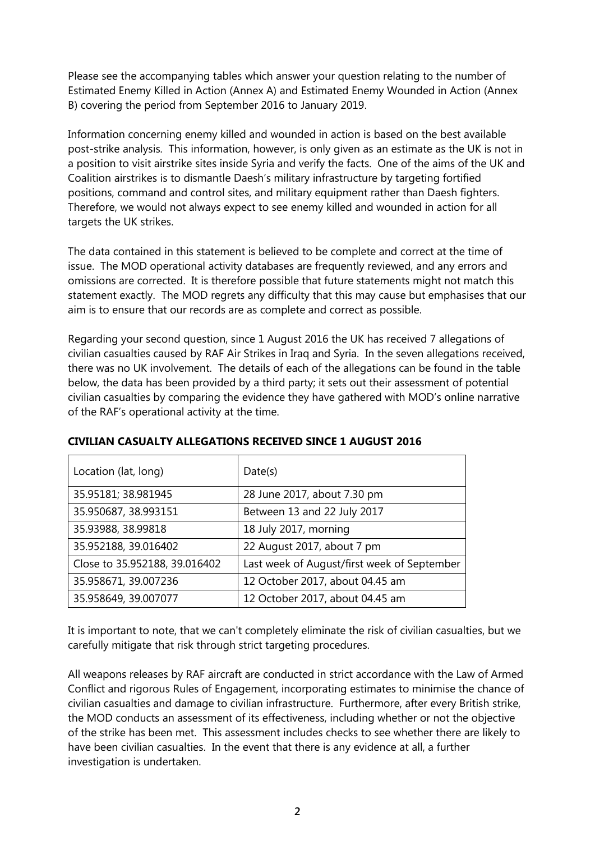Please see the accompanying tables which answer your question relating to the number of Estimated Enemy Killed in Action (Annex A) and Estimated Enemy Wounded in Action (Annex B) covering the period from September 2016 to January 2019.

Information concerning enemy killed and wounded in action is based on the best available post-strike analysis. This information, however, is only given as an estimate as the UK is not in a position to visit airstrike sites inside Syria and verify the facts. One of the aims of the UK and Coalition airstrikes is to dismantle Daesh's military infrastructure by targeting fortified positions, command and control sites, and military equipment rather than Daesh fighters. Therefore, we would not always expect to see enemy killed and wounded in action for all targets the UK strikes.

The data contained in this statement is believed to be complete and correct at the time of issue. The MOD operational activity databases are frequently reviewed, and any errors and omissions are corrected. It is therefore possible that future statements might not match this statement exactly. The MOD regrets any difficulty that this may cause but emphasises that our aim is to ensure that our records are as complete and correct as possible.

Regarding your second question, since 1 August 2016 the UK has received 7 allegations of civilian casualties caused by RAF Air Strikes in Iraq and Syria. In the seven allegations received, there was no UK involvement. The details of each of the allegations can be found in the table below, the data has been provided by a third party; it sets out their assessment of potential civilian casualties by comparing the evidence they have gathered with MOD's online narrative of the RAF's operational activity at the time.

| Location (lat, long)          | Date(s)                                     |
|-------------------------------|---------------------------------------------|
| 35.95181; 38.981945           | 28 June 2017, about 7.30 pm                 |
| 35.950687, 38.993151          | Between 13 and 22 July 2017                 |
| 35.93988, 38.99818            | 18 July 2017, morning                       |
| 35.952188, 39.016402          | 22 August 2017, about 7 pm                  |
| Close to 35.952188, 39.016402 | Last week of August/first week of September |
| 35.958671, 39.007236          | 12 October 2017, about 04.45 am             |
| 35.958649, 39.007077          | 12 October 2017, about 04.45 am             |

# **CIVILIAN CASUALTY ALLEGATIONS RECEIVED SINCE 1 AUGUST 2016**

It is important to note, that we can't completely eliminate the risk of civilian casualties, but we carefully mitigate that risk through strict targeting procedures.

All weapons releases by RAF aircraft are conducted in strict accordance with the Law of Armed Conflict and rigorous Rules of Engagement, incorporating estimates to minimise the chance of civilian casualties and damage to civilian infrastructure. Furthermore, after every British strike, the MOD conducts an assessment of its effectiveness, including whether or not the objective of the strike has been met. This assessment includes checks to see whether there are likely to have been civilian casualties. In the event that there is any evidence at all, a further investigation is undertaken.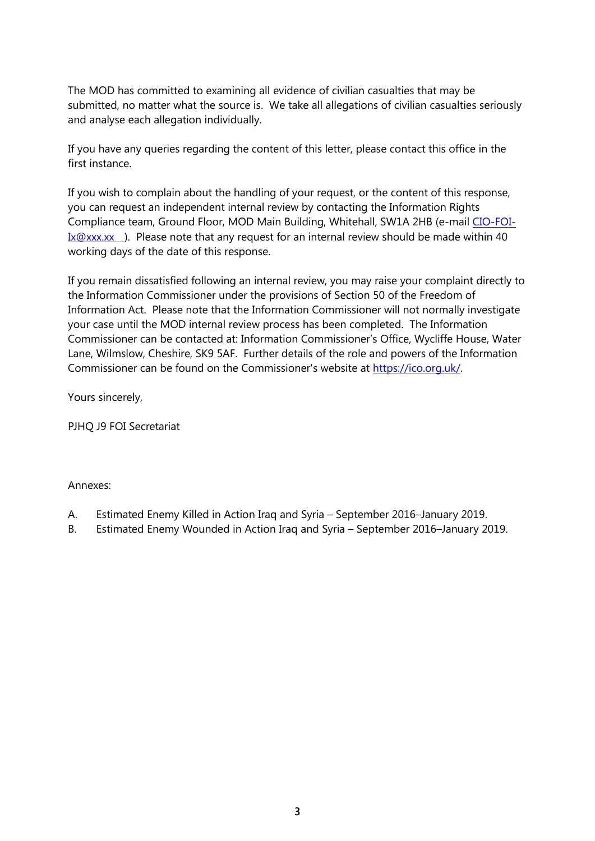The MOD has committed to examining all evidence of civilian casualties that may be submitted, no matter what the source is. We take all allegations of civilian casualties seriously and analyse each allegation individually.

If you have any queries regarding the content of this letter, please contact this office in the first instance.

If you wish to complain about the handling of your request, or the content of this response, you can request an independent internal review by contacting the Information Rights Compliance team, Ground Floor, MOD Main Building, Whitehall, SW1A 2HB (e-mail [CIO-FOI-](mailto:xxxxxxxxxx@xxx.xx) $Ix@xxxxx$  ). Please note that any request for an internal review should be made within 40 working days of the date of this response.

If you remain dissatisfied following an internal review, you may raise your complaint directly to the Information Commissioner under the provisions of Section 50 of the Freedom of Information Act. Please note that the Information Commissioner will not normally investigate your case until the MOD internal review process has been completed. The Information Commissioner can be contacted at: Information Commissioner's Office, Wycliffe House, Water Lane, Wilmslow, Cheshire, SK9 5AF. Further details of the role and powers of the Information Commissioner can be found on the Commissioner's website at [https://ico.org.uk/.](https://ico.org.uk/)

Yours sincerely,

PJHQ J9 FOI Secretariat

#### Annexes:

- A. Estimated Enemy Killed in Action Iraq and Syria September 2016–January 2019.
- B. Estimated Enemy Wounded in Action Iraq and Syria September 2016–January 2019.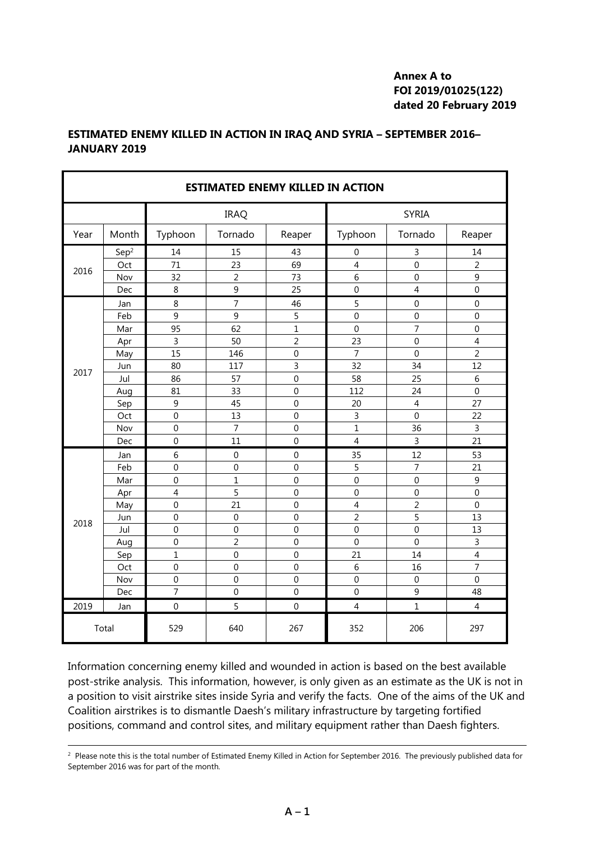## **Annex A to FOI 2019/01025(122) dated 20 February 2019**

| <b>ESTIMATED ENEMY KILLED IN ACTION</b> |                  |                  |                  |                |                  |                |                |  |
|-----------------------------------------|------------------|------------------|------------------|----------------|------------------|----------------|----------------|--|
|                                         |                  |                  | <b>IRAQ</b>      |                | <b>SYRIA</b>     |                |                |  |
| Year                                    | Month            | Typhoon          | Tornado          | Reaper         | Typhoon          | Tornado        | Reaper         |  |
| 2016                                    | Sep <sup>2</sup> | 14               | 15               | 43             | $\boldsymbol{0}$ | 3              | 14             |  |
|                                         | Oct              | 71               | 23               | 69             | $\overline{4}$   | 0              | $\overline{2}$ |  |
|                                         | Nov              | 32               | $\overline{2}$   | 73             | 6                | $\mathbf 0$    | 9              |  |
|                                         | Dec              | 8                | 9                | 25             | $\mathbf 0$      | 4              | $\mathbf 0$    |  |
|                                         | Jan              | 8                | $\overline{7}$   | 46             | 5                | $\mathbf 0$    | $\mathbf 0$    |  |
|                                         | Feb              | 9                | 9                | 5              | $\overline{0}$   | $\overline{0}$ | $\mathbf 0$    |  |
|                                         | Mar              | 95               | 62               | $\overline{1}$ | $\mathbf 0$      | $\overline{7}$ | $\mathbf 0$    |  |
|                                         | Apr              | $\overline{3}$   | 50               | $\overline{2}$ | 23               | $\overline{0}$ | $\overline{4}$ |  |
|                                         | May              | $\overline{15}$  | 146              | $\mathbf 0$    | $\overline{7}$   | $\overline{0}$ | $\overline{2}$ |  |
| 2017                                    | Jun              | 80               | 117              | 3              | 32               | 34             | 12             |  |
|                                         | Jul              | 86               | 57               | $\mathbf 0$    | 58               | 25             | 6              |  |
|                                         | Aug              | 81               | 33               | $\Omega$       | 112              | 24             | $\theta$       |  |
|                                         | Sep              | 9                | 45               | $\mathbf 0$    | 20               | $\overline{4}$ | 27             |  |
|                                         | Oct              | $\boldsymbol{0}$ | 13               | $\mathbf 0$    | 3                | $\mathbf 0$    | 22             |  |
|                                         | Nov              | $\mathbf 0$      | $\overline{7}$   | $\mathbf 0$    | $\mathbf{1}$     | 36             | $\overline{3}$ |  |
|                                         | Dec              | $\mathbf 0$      | 11               | $\mathbf 0$    | $\overline{4}$   | 3              | 21             |  |
|                                         | Jan              | 6                | $\boldsymbol{0}$ | $\mathbf 0$    | 35               | 12             | 53             |  |
|                                         | Feb              | $\mathbf 0$      | $\mathbf 0$      | $\mathbf 0$    | 5                | 7              | 21             |  |
|                                         | Mar              | $\mathbf 0$      | $\overline{1}$   | $\mathbf 0$    | $\mathbf 0$      | $\mathbf{0}$   | 9              |  |
| 2018                                    | Apr              | $\overline{4}$   | 5                | $\mathbf 0$    | $\mathbf 0$      | $\overline{0}$ | $\overline{0}$ |  |
|                                         | May              | $\mathbf 0$      | 21               | $\mathbf 0$    | $\overline{4}$   | $\overline{2}$ | $\mathbf 0$    |  |
|                                         | Jun              | $\overline{0}$   | $\overline{0}$   | $\overline{0}$ | $\overline{2}$   | 5              | 13             |  |
|                                         | Jul              | $\mathbf 0$      | $\mathbf 0$      | $\Omega$       | $\mathbf 0$      | $\overline{0}$ | 13             |  |
|                                         | Aug              | $\mathbf 0$      | $\overline{2}$   | $\overline{0}$ | $\overline{0}$   | $\overline{0}$ | 3              |  |
|                                         | Sep              | $\overline{1}$   | $\mathbf 0$      | $\mathbf 0$    | 21               | 14             | $\overline{4}$ |  |
|                                         | Oct              | $\boldsymbol{0}$ | $\boldsymbol{0}$ | $\overline{0}$ | 6                | 16             | $\overline{7}$ |  |
|                                         | Nov              | $\mathbf 0$      | $\mathbf 0$      | $\mathbf 0$    | $\mathbf 0$      | $\mathbf 0$    | $\mathbf 0$    |  |
|                                         | Dec              | $\overline{7}$   | $\mathbf 0$      | $\mathbf 0$    | $\mathbf 0$      | 9              | 48             |  |
| 2019                                    | Jan              | $\mathbf 0$      | 5                | $\mathbf 0$    | $\overline{4}$   | 1              | $\overline{4}$ |  |
| Total                                   |                  | 529              | 640              | 267            | 352              | 206            | 297            |  |

#### **ESTIMATED ENEMY KILLED IN ACTION IN IRAQ AND SYRIA – SEPTEMBER 2016– JANUARY 2019**

Information concerning enemy killed and wounded in action is based on the best available post-strike analysis. This information, however, is only given as an estimate as the UK is not in a position to visit airstrike sites inside Syria and verify the facts. One of the aims of the UK and Coalition airstrikes is to dismantle Daesh's military infrastructure by targeting fortified positions, command and control sites, and military equipment rather than Daesh fighters.

<sup>2</sup> Please note this is the total number of Estimated Enemy Killed in Action for September 2016. The previously published data for September 2016 was for part of the month.

 $\overline{a}$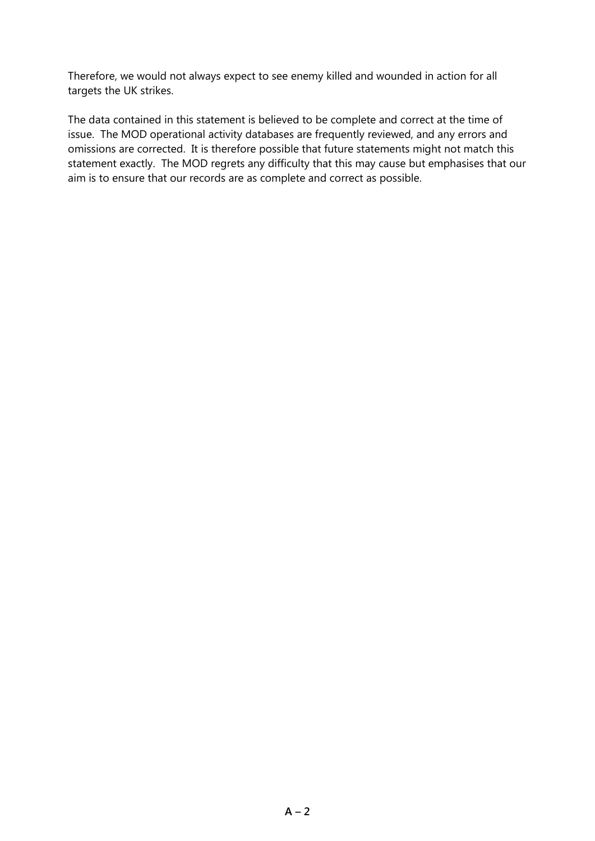Therefore, we would not always expect to see enemy killed and wounded in action for all targets the UK strikes.

The data contained in this statement is believed to be complete and correct at the time of issue. The MOD operational activity databases are frequently reviewed, and any errors and omissions are corrected. It is therefore possible that future statements might not match this statement exactly. The MOD regrets any difficulty that this may cause but emphasises that our aim is to ensure that our records are as complete and correct as possible.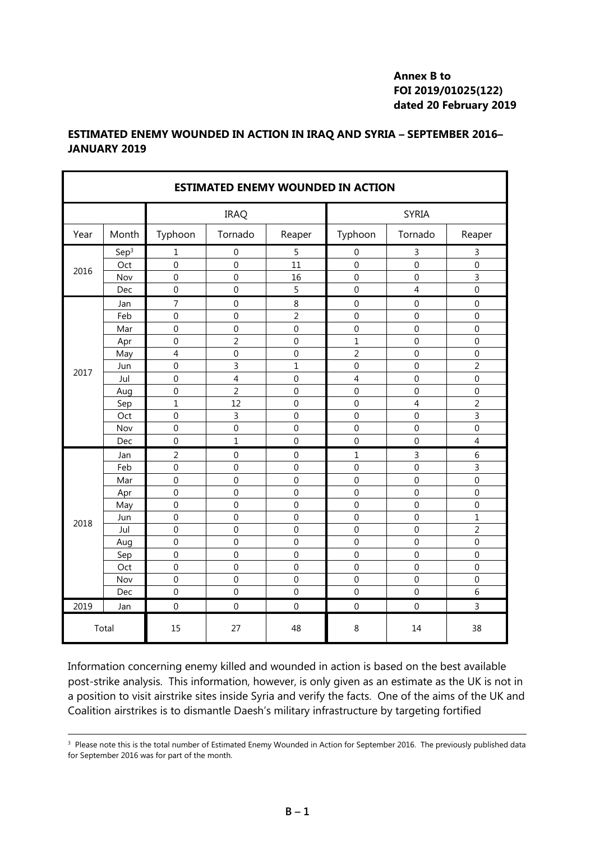## **Annex B to FOI 2019/01025(122) dated 20 February 2019**

| <b>ESTIMATED ENEMY WOUNDED IN ACTION</b> |                  |                |                         |                  |                |                |                  |  |
|------------------------------------------|------------------|----------------|-------------------------|------------------|----------------|----------------|------------------|--|
|                                          |                  | <b>IRAQ</b>    |                         |                  | <b>SYRIA</b>   |                |                  |  |
| Year                                     | Month            | Typhoon        | Tornado                 | Reaper           | Typhoon        | Tornado        | Reaper           |  |
| 2016                                     | Sep <sup>3</sup> | 1              | $\boldsymbol{0}$        | 5                | $\mathbf 0$    | 3              | 3                |  |
|                                          | Oct              | 0              | $\mathbf 0$             | 11               | $\mathbf 0$    | $\mathbf 0$    | $\mathbf 0$      |  |
|                                          | Nov              | $\mathbf 0$    | $\mathbf 0$             | 16               | $\mathbf{0}$   | $\mathbf 0$    | 3                |  |
|                                          | Dec              | $\mathbf 0$    | $\mathbf 0$             | 5                | $\mathbf 0$    | $\overline{4}$ | $\overline{0}$   |  |
|                                          | Jan              | 7              | $\boldsymbol{0}$        | 8                | $\mathbf 0$    | $\mathbf 0$    | $\mathbf 0$      |  |
|                                          | Feb              | $\mathbf 0$    | $\mathbf 0$             | $\overline{2}$   | $\mathbf 0$    | $\mathbf 0$    | $\overline{0}$   |  |
|                                          | Mar              | $\mathbf 0$    | $\mathbf 0$             | $\mathbf 0$      | $\mathbf{0}$   | $\mathbf 0$    | $\mathbf 0$      |  |
|                                          | Apr              | $\overline{0}$ | $\overline{2}$          | $\mathbf 0$      | $\overline{1}$ | $\overline{0}$ | $\overline{0}$   |  |
|                                          | May              | $\overline{4}$ | $\mathbf 0$             | $\mathbf 0$      | $\overline{2}$ | 0              | $\mathbf 0$      |  |
| 2017                                     | Jun              | $\overline{0}$ | $\overline{3}$          | $\overline{1}$   | $\overline{0}$ | $\overline{0}$ | $\overline{2}$   |  |
|                                          | Jul              | $\overline{0}$ | $\overline{\mathbf{4}}$ | $\mathbf 0$      | 4              | $\overline{0}$ | $\overline{0}$   |  |
|                                          | Aug              | 0              | $\overline{2}$          | $\mathbf 0$      | $\mathbf 0$    | 0              | $\mathbf 0$      |  |
|                                          | Sep              | $\overline{1}$ | 12                      | $\mathbf 0$      | $\mathbf 0$    | $\overline{4}$ | $\overline{2}$   |  |
|                                          | Oct              | 0              | $\overline{3}$          | $\mathbf 0$      | $\mathbf 0$    | $\mathbf 0$    | 3                |  |
|                                          | Nov              | $\mathbf 0$    | $\mathbf 0$             | $\mathbf 0$      | $\mathbf 0$    | $\mathbf 0$    | $\mathbf 0$      |  |
|                                          | Dec              | 0              | $\mathbf{1}$            | $\mathbf 0$      | $\mathbf 0$    | $\mathbf 0$    | $\overline{4}$   |  |
|                                          | Jan              | 2              | $\mathbf 0$             | $\mathbf 0$      | 1              | 3              | 6                |  |
|                                          | Feb              | $\mathbf 0$    | $\mathbf 0$             | $\mathbf 0$      | $\mathbf 0$    | $\mathbf 0$    | 3                |  |
|                                          | Mar              | $\mathbf 0$    | $\mathbf 0$             | $\boldsymbol{0}$ | $\mathbf 0$    | $\mathbf 0$    | $\mathbf 0$      |  |
|                                          | Apr              | $\mathbf 0$    | $\mathbf 0$             | $\mathbf 0$      | $\mathbf 0$    | $\mathbf 0$    | $\mathbf 0$      |  |
|                                          | May              | $\mathbf 0$    | $\mathbf 0$             | $\mathbf 0$      | $\mathbf 0$    | $\mathbf 0$    | $\boldsymbol{0}$ |  |
| 2018                                     | Jun              | $\overline{0}$ | $\mathbf 0$             | $\mathbf 0$      | $\overline{0}$ | $\mathbf 0$    | $\overline{1}$   |  |
|                                          | Jul              | $\mathbf 0$    | $\mathbf 0$             | $\boldsymbol{0}$ | $\mathbf{0}$   | $\mathbf 0$    | $\overline{c}$   |  |
|                                          | Aug              | $\overline{0}$ | $\mathbf 0$             | $\mathbf 0$      | $\overline{0}$ | $\mathbf 0$    | $\overline{0}$   |  |
|                                          | Sep              | $\overline{0}$ | $\mathbf 0$             | $\mathbf 0$      | $\overline{0}$ | $\overline{0}$ | $\overline{0}$   |  |
|                                          | Oct              | 0              | $\mathbf 0$             | $\mathbf 0$      | $\mathbf 0$    | $\overline{0}$ | $\mathbf 0$      |  |
|                                          | Nov              | $\overline{0}$ | $\mathbf 0$             | $\overline{0}$   | $\mathbf 0$    | 0              | $\mathbf 0$      |  |
|                                          | Dec              | 0              | $\mathbf 0$             | $\mathbf 0$      | $\mathbf 0$    | $\mathbf 0$    | 6                |  |
| 2019                                     | Jan              | $\mathbf 0$    | $\theta$                | $\Omega$         | $\mathbf{0}$   | $\Omega$       | $\overline{3}$   |  |
| Total                                    |                  | 15             | 27                      | 48               | 8              | 14             | 38               |  |

## **ESTIMATED ENEMY WOUNDED IN ACTION IN IRAQ AND SYRIA – SEPTEMBER 2016– JANUARY 2019**

Information concerning enemy killed and wounded in action is based on the best available post-strike analysis. This information, however, is only given as an estimate as the UK is not in a position to visit airstrike sites inside Syria and verify the facts. One of the aims of the UK and Coalition airstrikes is to dismantle Daesh's military infrastructure by targeting fortified

<sup>3</sup> Please note this is the total number of Estimated Enemy Wounded in Action for September 2016. The previously published data for September 2016 was for part of the month.